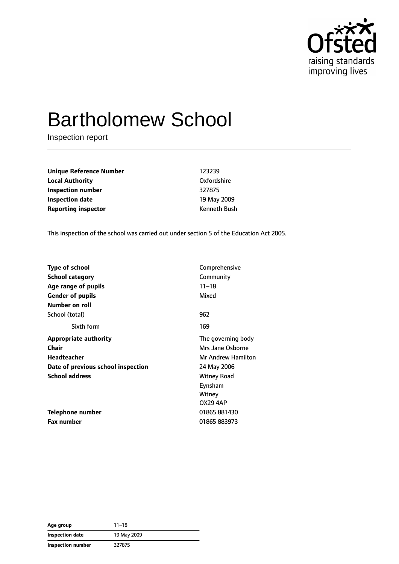

# Bartholomew School

Inspection report

**Unique Reference Number** 123239 **Local Authority** Oxfordshire **Inspection number** 327875 **Inspection date** 19 May 2009 **Reporting inspector CONFIDENTIAL REPORTING Kenneth Bush** 

This inspection of the school was carried out under section 5 of the Education Act 2005.

| <b>Type of school</b>              | Comprehensive      |
|------------------------------------|--------------------|
| School category                    | Community          |
| Age range of pupils                | $11 - 18$          |
| <b>Gender of pupils</b>            | Mixed              |
| Number on roll                     |                    |
| School (total)                     | 962                |
| Sixth form                         | 169                |
| <b>Appropriate authority</b>       | The governing body |
| Chair                              | Mrs Jane Osborne   |
| <b>Headteacher</b>                 | Mr Andrew Hamilton |
| Date of previous school inspection | 24 May 2006        |
| <b>School address</b>              | <b>Witney Road</b> |
|                                    | Eynsham            |
|                                    | Witney             |
|                                    | <b>OX29 4AP</b>    |
| Telephone number                   | 01865 881430       |
| Fax number                         | 01865 883973       |

| Age group         | $11 - 18$   |
|-------------------|-------------|
| Inspection date   | 19 May 2009 |
| Inspection number | 327875      |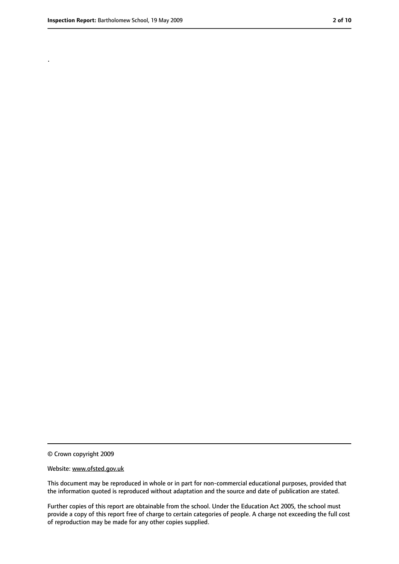.

<sup>©</sup> Crown copyright 2009

Website: www.ofsted.gov.uk

This document may be reproduced in whole or in part for non-commercial educational purposes, provided that the information quoted is reproduced without adaptation and the source and date of publication are stated.

Further copies of this report are obtainable from the school. Under the Education Act 2005, the school must provide a copy of this report free of charge to certain categories of people. A charge not exceeding the full cost of reproduction may be made for any other copies supplied.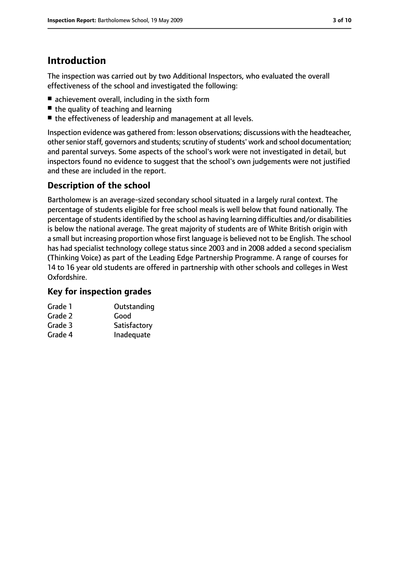### **Introduction**

The inspection was carried out by two Additional Inspectors, who evaluated the overall effectiveness of the school and investigated the following:

- achievement overall, including in the sixth form
- the quality of teaching and learning
- the effectiveness of leadership and management at all levels.

Inspection evidence was gathered from: lesson observations; discussions with the headteacher, other senior staff, governors and students; scrutiny of students' work and school documentation; and parental surveys. Some aspects of the school's work were not investigated in detail, but inspectors found no evidence to suggest that the school's own judgements were not justified and these are included in the report.

### **Description of the school**

Bartholomew is an average-sized secondary school situated in a largely rural context. The percentage of students eligible for free school meals is well below that found nationally. The percentage of students identified by the school as having learning difficulties and/or disabilities is below the national average. The great majority of students are of White British origin with a small but increasing proportion whose first language is believed not to be English. The school has had specialist technology college status since 2003 and in 2008 added a second specialism (Thinking Voice) as part of the Leading Edge Partnership Programme. A range of courses for 14 to 16 year old students are offered in partnership with other schools and colleges in West Oxfordshire.

#### **Key for inspection grades**

| Grade 1 | Outstanding  |
|---------|--------------|
| Grade 2 | Good         |
| Grade 3 | Satisfactory |
| Grade 4 | Inadequate   |
|         |              |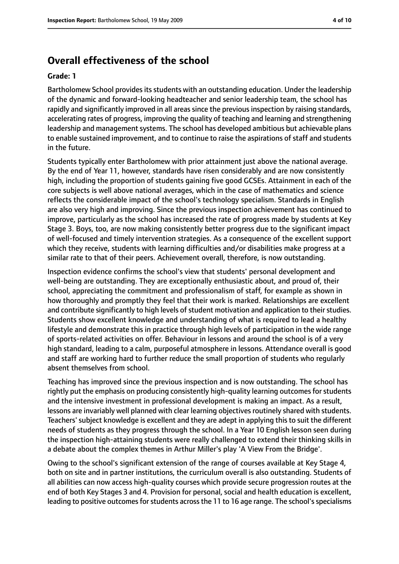### **Overall effectiveness of the school**

#### **Grade: 1**

Bartholomew School provides its students with an outstanding education. Under the leadership of the dynamic and forward-looking headteacher and senior leadership team, the school has rapidly and significantly improved in all areas since the previous inspection by raising standards, accelerating rates of progress, improving the quality of teaching and learning and strengthening leadership and management systems. The school has developed ambitious but achievable plans to enable sustained improvement, and to continue to raise the aspirations of staff and students in the future.

Students typically enter Bartholomew with prior attainment just above the national average. By the end of Year 11, however, standards have risen considerably and are now consistently high, including the proportion of students gaining five good GCSEs. Attainment in each of the core subjects is well above national averages, which in the case of mathematics and science reflects the considerable impact of the school's technology specialism. Standards in English are also very high and improving. Since the previous inspection achievement has continued to improve, particularly as the school has increased the rate of progress made by students at Key Stage 3. Boys, too, are now making consistently better progress due to the significant impact of well-focused and timely intervention strategies. As a consequence of the excellent support which they receive, students with learning difficulties and/or disabilities make progress at a similar rate to that of their peers. Achievement overall, therefore, is now outstanding.

Inspection evidence confirms the school's view that students' personal development and well-being are outstanding. They are exceptionally enthusiastic about, and proud of, their school, appreciating the commitment and professionalism of staff, for example as shown in how thoroughly and promptly they feel that their work is marked. Relationships are excellent and contribute significantly to high levels of student motivation and application to their studies. Students show excellent knowledge and understanding of what is required to lead a healthy lifestyle and demonstrate this in practice through high levels of participation in the wide range of sports-related activities on offer. Behaviour in lessons and around the school is of a very high standard, leading to a calm, purposeful atmosphere in lessons. Attendance overall is good and staff are working hard to further reduce the small proportion of students who regularly absent themselves from school.

Teaching has improved since the previous inspection and is now outstanding. The school has rightly put the emphasis on producing consistently high-quality learning outcomes for students and the intensive investment in professional development is making an impact. As a result, lessons are invariably well planned with clear learning objectives routinely shared with students. Teachers' subject knowledge is excellent and they are adept in applying this to suit the different needs of students as they progress through the school. In a Year 10 English lesson seen during the inspection high-attaining students were really challenged to extend their thinking skills in a debate about the complex themes in Arthur Miller's play 'A View From the Bridge'.

Owing to the school's significant extension of the range of courses available at Key Stage 4, both on site and in partner institutions, the curriculum overall is also outstanding. Students of all abilities can now access high-quality courses which provide secure progression routes at the end of both Key Stages 3 and 4. Provision for personal, social and health education is excellent, leading to positive outcomes for students across the 11 to 16 age range. The school's specialisms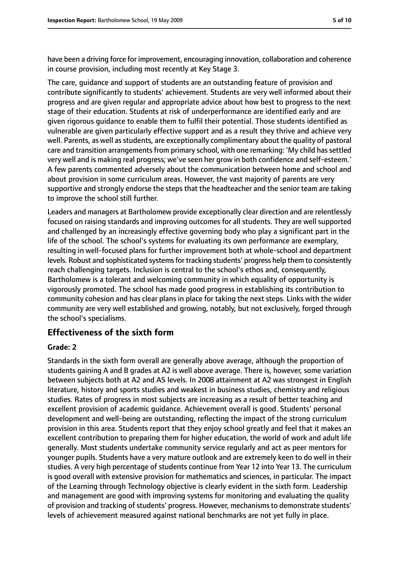have been a driving force for improvement, encouraging innovation, collaboration and coherence in course provision, including most recently at Key Stage 3.

The care, guidance and support of students are an outstanding feature of provision and contribute significantly to students' achievement. Students are very well informed about their progress and are given regular and appropriate advice about how best to progress to the next stage of their education. Students at risk of underperformance are identified early and are given rigorous guidance to enable them to fulfil their potential. Those students identified as vulnerable are given particularly effective support and as a result they thrive and achieve very well. Parents, as well as students, are exceptionally complimentary about the quality of pastoral care and transition arrangements from primary school, with one remarking: 'My child has settled very well and is making real progress; we've seen her grow in both confidence and self-esteem.' A few parents commented adversely about the communication between home and school and about provision in some curriculum areas. However, the vast majority of parents are very supportive and strongly endorse the steps that the headteacher and the senior team are taking to improve the school still further.

Leaders and managers at Bartholomew provide exceptionally clear direction and are relentlessly focused on raising standards and improving outcomes for all students. They are well supported and challenged by an increasingly effective governing body who play a significant part in the life of the school. The school's systems for evaluating its own performance are exemplary, resulting in well-focused plans for further improvement both at whole-school and department levels. Robust and sophisticated systems for tracking students' progress help them to consistently reach challenging targets. Inclusion is central to the school's ethos and, consequently, Bartholomew is a tolerant and welcoming community in which equality of opportunity is vigorously promoted. The school has made good progress in establishing its contribution to community cohesion and has clear plans in place for taking the next steps. Links with the wider community are very well established and growing, notably, but not exclusively, forged through the school's specialisms.

#### **Effectiveness of the sixth form**

#### **Grade: 2**

Standards in the sixth form overall are generally above average, although the proportion of students gaining A and B grades at A2 is well above average. There is, however, some variation between subjects both at A2 and AS levels. In 2008 attainment at A2 was strongest in English literature, history and sports studies and weakest in business studies, chemistry and religious studies. Rates of progress in most subjects are increasing as a result of better teaching and excellent provision of academic guidance. Achievement overall is good. Students' personal development and well-being are outstanding, reflecting the impact of the strong curriculum provision in this area. Students report that they enjoy school greatly and feel that it makes an excellent contribution to preparing them for higher education, the world of work and adult life generally. Most students undertake community service regularly and act as peer mentors for younger pupils. Students have a very mature outlook and are extremely keen to do well in their studies. A very high percentage of students continue from Year 12 into Year 13. The curriculum is good overall with extensive provision for mathematics and sciences, in particular. The impact of the Learning through Technology objective is clearly evident in the sixth form. Leadership and management are good with improving systems for monitoring and evaluating the quality of provision and tracking of students' progress. However, mechanisms to demonstrate students' levels of achievement measured against national benchmarks are not yet fully in place.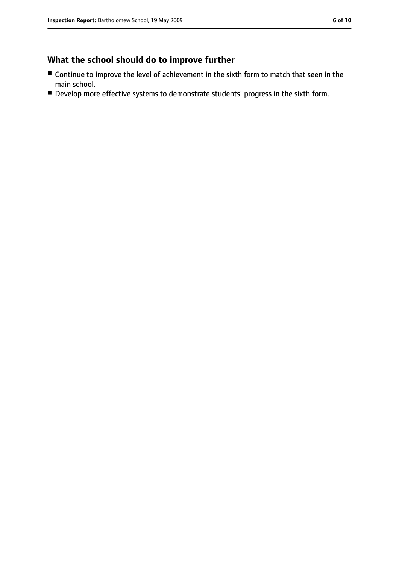### **What the school should do to improve further**

- Continue to improve the level of achievement in the sixth form to match that seen in the main school.
- Develop more effective systems to demonstrate students' progress in the sixth form.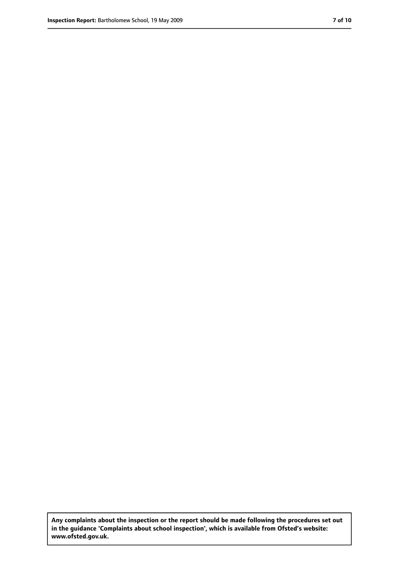**Any complaints about the inspection or the report should be made following the procedures set out in the guidance 'Complaints about school inspection', which is available from Ofsted's website: www.ofsted.gov.uk.**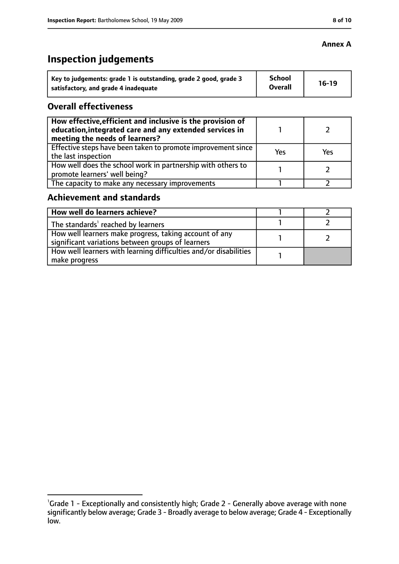# **Inspection judgements**

| Key to judgements: grade 1 is outstanding, grade 2 good, grade 3 | School<br><b>Overall</b> | $16-19$ |
|------------------------------------------------------------------|--------------------------|---------|
| satisfactory, and grade 4 inadequate                             |                          |         |

### **Overall effectiveness**

| How effective, efficient and inclusive is the provision of<br>education, integrated care and any extended services in<br>meeting the needs of learners? |     |     |
|---------------------------------------------------------------------------------------------------------------------------------------------------------|-----|-----|
| Effective steps have been taken to promote improvement since  <br>the last inspection                                                                   | Yes | Yes |
| How well does the school work in partnership with others to<br>promote learners' well being?                                                            |     |     |
| The capacity to make any necessary improvements                                                                                                         |     |     |

### **Achievement and standards**

| How well do learners achieve?                                                                               |  |
|-------------------------------------------------------------------------------------------------------------|--|
| The standards <sup>1</sup> reached by learners                                                              |  |
| How well learners make progress, taking account of any<br>significant variations between groups of learners |  |
| How well learners with learning difficulties and/or disabilities<br>make progress                           |  |

### **Annex A**

<sup>&</sup>lt;sup>1</sup>Grade 1 - Exceptionally and consistently high; Grade 2 - Generally above average with none significantly below average; Grade 3 - Broadly average to below average; Grade 4 - Exceptionally low.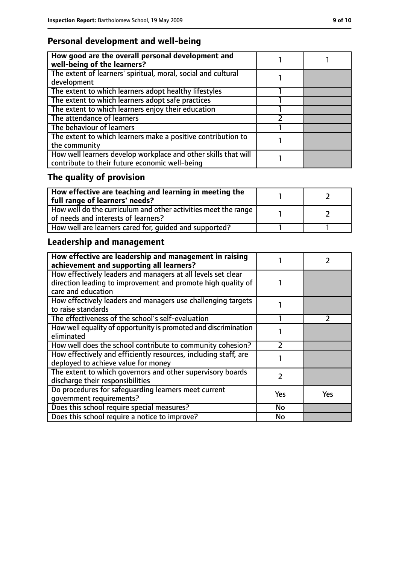### **Personal development and well-being**

| How good are the overall personal development and<br>well-being of the learners?                                 |  |
|------------------------------------------------------------------------------------------------------------------|--|
| The extent of learners' spiritual, moral, social and cultural<br>development                                     |  |
| The extent to which learners adopt healthy lifestyles                                                            |  |
| The extent to which learners adopt safe practices                                                                |  |
| The extent to which learners enjoy their education                                                               |  |
| The attendance of learners                                                                                       |  |
| The behaviour of learners                                                                                        |  |
| The extent to which learners make a positive contribution to<br>the community                                    |  |
| How well learners develop workplace and other skills that will<br>contribute to their future economic well-being |  |

# **The quality of provision**

| $\mid$ How effective are teaching and learning in meeting the<br>full range of learners' needs?       |  |
|-------------------------------------------------------------------------------------------------------|--|
| How well do the curriculum and other activities meet the range<br>of needs and interests of learners? |  |
| How well are learners cared for, quided and supported?                                                |  |

# **Leadership and management**

| How effective are leadership and management in raising<br>achievement and supporting all learners?                           |           |     |
|------------------------------------------------------------------------------------------------------------------------------|-----------|-----|
| How effectively leaders and managers at all levels set clear<br>direction leading to improvement and promote high quality of |           |     |
| care and education                                                                                                           |           |     |
| How effectively leaders and managers use challenging targets<br>to raise standards                                           |           |     |
| The effectiveness of the school's self-evaluation                                                                            |           |     |
| How well equality of opportunity is promoted and discrimination<br>eliminated                                                |           |     |
| How well does the school contribute to community cohesion?                                                                   |           |     |
| How effectively and efficiently resources, including staff, are<br>deployed to achieve value for money                       |           |     |
| The extent to which governors and other supervisory boards<br>discharge their responsibilities                               | 2         |     |
| Do procedures for safequarding learners meet current<br>qovernment requirements?                                             | Yes       | Yes |
| Does this school require special measures?                                                                                   | <b>No</b> |     |
| Does this school require a notice to improve?                                                                                | No        |     |